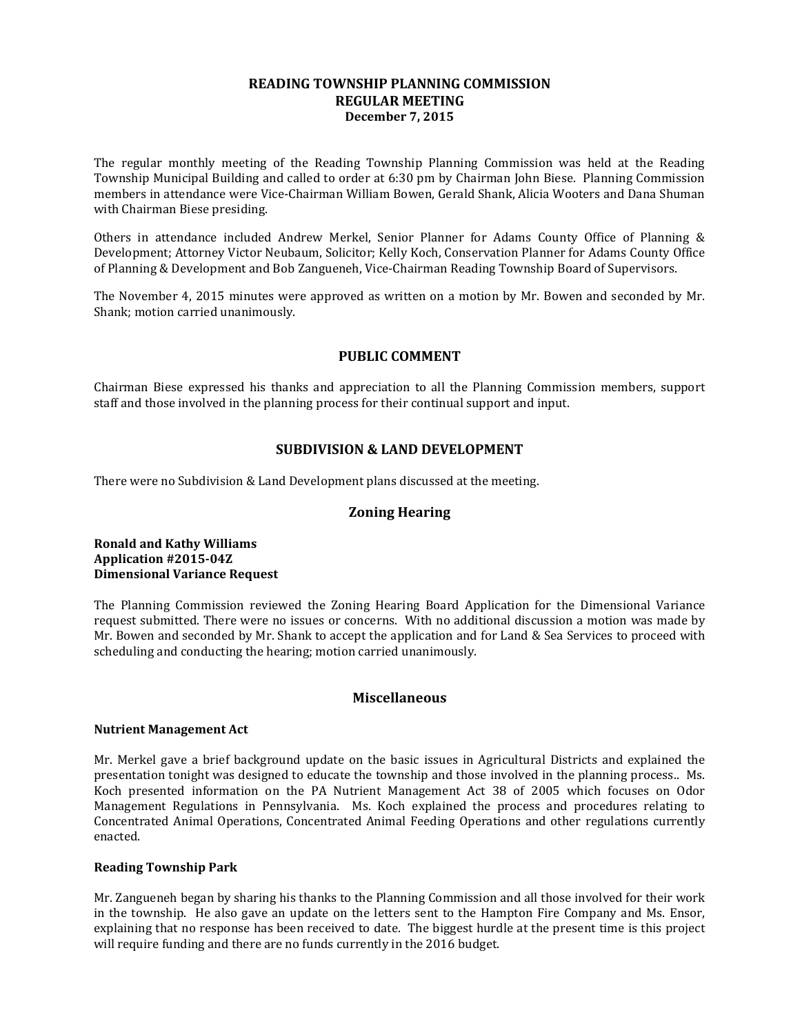### **READING TOWNSHIP PLANNING COMMISSION REGULAR MEETING December 7, 2015**

The regular monthly meeting of the Reading Township Planning Commission was held at the Reading Township Municipal Building and called to order at 6:30 pm by Chairman John Biese. Planning Commission members in attendance were Vice-Chairman William Bowen, Gerald Shank, Alicia Wooters and Dana Shuman with Chairman Biese presiding.

Others in attendance included Andrew Merkel, Senior Planner for Adams County Office of Planning & Development; Attorney Victor Neubaum, Solicitor; Kelly Koch, Conservation Planner for Adams County Office of Planning & Development and Bob Zangueneh, Vice-Chairman Reading Township Board of Supervisors.

The November 4, 2015 minutes were approved as written on a motion by Mr. Bowen and seconded by Mr. Shank; motion carried unanimously.

# **PUBLIC COMMENT**

Chairman Biese expressed his thanks and appreciation to all the Planning Commission members, support staff and those involved in the planning process for their continual support and input.

# **SUBDIVISION & LAND DEVELOPMENT**

There were no Subdivision & Land Development plans discussed at the meeting.

## **Zoning Hearing**

## **Ronald and Kathy Williams Application #2015-04Z Dimensional Variance Request**

The Planning Commission reviewed the Zoning Hearing Board Application for the Dimensional Variance request submitted. There were no issues or concerns. With no additional discussion a motion was made by Mr. Bowen and seconded by Mr. Shank to accept the application and for Land & Sea Services to proceed with scheduling and conducting the hearing; motion carried unanimously.

#### **Miscellaneous**

#### **Nutrient Management Act**

Mr. Merkel gave a brief background update on the basic issues in Agricultural Districts and explained the presentation tonight was designed to educate the township and those involved in the planning process.. Ms. Koch presented information on the PA Nutrient Management Act 38 of 2005 which focuses on Odor Management Regulations in Pennsylvania. Ms. Koch explained the process and procedures relating to Concentrated Animal Operations, Concentrated Animal Feeding Operations and other regulations currently enacted.

#### **Reading Township Park**

Mr. Zangueneh began by sharing his thanks to the Planning Commission and all those involved for their work in the township. He also gave an update on the letters sent to the Hampton Fire Company and Ms. Ensor, explaining that no response has been received to date. The biggest hurdle at the present time is this project will require funding and there are no funds currently in the 2016 budget.